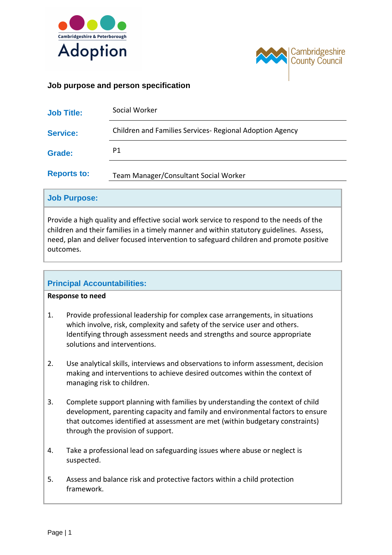



# **Job purpose and person specification**

| <b>Job Title:</b>  | Social Worker                                            |
|--------------------|----------------------------------------------------------|
| <b>Service:</b>    | Children and Families Services- Regional Adoption Agency |
| <b>Grade:</b>      | P1                                                       |
| <b>Reports to:</b> | Team Manager/Consultant Social Worker                    |

#### **Job Purpose:**

Provide a high quality and effective social work service to respond to the needs of the children and their families in a timely manner and within statutory guidelines. Assess, need, plan and deliver focused intervention to safeguard children and promote positive outcomes.

## **Principal Accountabilities:**

#### **Response to need**

- 1. Provide professional leadership for complex case arrangements, in situations which involve, risk, complexity and safety of the service user and others. Identifying through assessment needs and strengths and source appropriate solutions and interventions.
- 2. Use analytical skills, interviews and observations to inform assessment, decision making and interventions to achieve desired outcomes within the context of managing risk to children.
- 3. Complete support planning with families by understanding the context of child development, parenting capacity and family and environmental factors to ensure that outcomes identified at assessment are met (within budgetary constraints) through the provision of support.
- 4. Take a professional lead on safeguarding issues where abuse or neglect is suspected.
- 5. Assess and balance risk and protective factors within a child protection framework.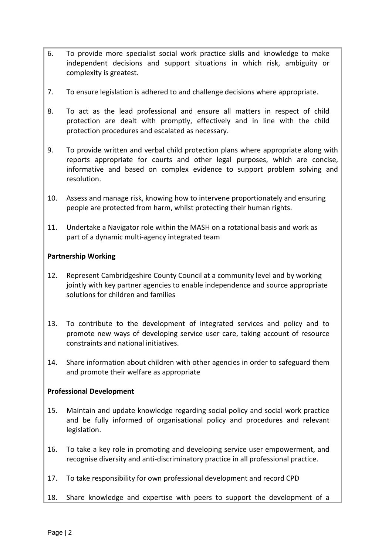- 6. To provide more specialist social work practice skills and knowledge to make independent decisions and support situations in which risk, ambiguity or complexity is greatest.
- 7. To ensure legislation is adhered to and challenge decisions where appropriate.
- 8. To act as the lead professional and ensure all matters in respect of child protection are dealt with promptly, effectively and in line with the child protection procedures and escalated as necessary.
- 9. To provide written and verbal child protection plans where appropriate along with reports appropriate for courts and other legal purposes, which are concise, informative and based on complex evidence to support problem solving and resolution.
- 10. Assess and manage risk, knowing how to intervene proportionately and ensuring people are protected from harm, whilst protecting their human rights.
- 11. Undertake a Navigator role within the MASH on a rotational basis and work as part of a dynamic multi-agency integrated team

#### **Partnership Working**

- 12. Represent Cambridgeshire County Council at a community level and by working jointly with key partner agencies to enable independence and source appropriate solutions for children and families
- 13. To contribute to the development of integrated services and policy and to promote new ways of developing service user care, taking account of resource constraints and national initiatives.
- 14. Share information about children with other agencies in order to safeguard them and promote their welfare as appropriate

#### **Professional Development**

- 15. Maintain and update knowledge regarding social policy and social work practice and be fully informed of organisational policy and procedures and relevant legislation.
- 16. To take a key role in promoting and developing service user empowerment, and recognise diversity and anti-discriminatory practice in all professional practice.
- 17. To take responsibility for own professional development and record CPD
- 18. Share knowledge and expertise with peers to support the development of a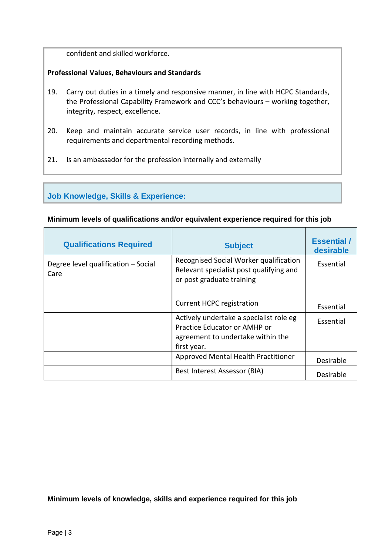confident and skilled workforce.

### **Professional Values, Behaviours and Standards**

- 19. Carry out duties in a timely and responsive manner, in line with HCPC Standards, the Professional Capability Framework and CCC's behaviours – working together, integrity, respect, excellence.
- 20. Keep and maintain accurate service user records, in line with professional requirements and departmental recording methods.
- 21. Is an ambassador for the profession internally and externally

# **Job Knowledge, Skills & Experience:**

#### **Minimum levels of qualifications and/or equivalent experience required for this job**

| <b>Qualifications Required</b>              | <b>Subject</b>                                                                                                              | <b>Essential</b> /<br>desirable |
|---------------------------------------------|-----------------------------------------------------------------------------------------------------------------------------|---------------------------------|
| Degree level qualification - Social<br>Care | Recognised Social Worker qualification<br>Relevant specialist post qualifying and<br>or post graduate training              | Essential                       |
|                                             | <b>Current HCPC registration</b>                                                                                            | Essential                       |
|                                             | Actively undertake a specialist role eg<br>Practice Educator or AMHP or<br>agreement to undertake within the<br>first year. | Essential                       |
|                                             | Approved Mental Health Practitioner                                                                                         | Desirable                       |
|                                             | Best Interest Assessor (BIA)                                                                                                | Desirable                       |

**Minimum levels of knowledge, skills and experience required for this job**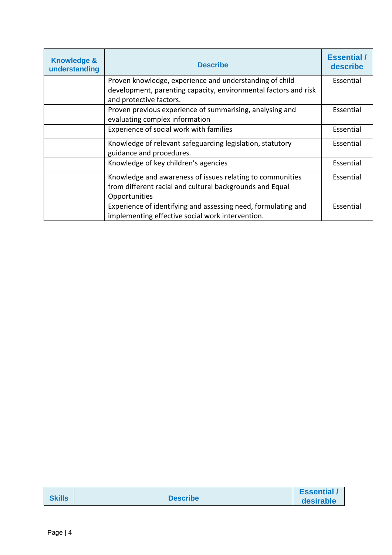| <b>Knowledge &amp;</b><br>understanding | <b>Describe</b>                                                 | <b>Essential</b> /<br>describe |
|-----------------------------------------|-----------------------------------------------------------------|--------------------------------|
|                                         | Proven knowledge, experience and understanding of child         | Essential                      |
|                                         | development, parenting capacity, environmental factors and risk |                                |
|                                         | and protective factors.                                         |                                |
|                                         | Proven previous experience of summarising, analysing and        | Essential                      |
|                                         | evaluating complex information                                  |                                |
|                                         | Experience of social work with families                         | Essential                      |
|                                         | Knowledge of relevant safeguarding legislation, statutory       | Essential                      |
|                                         | guidance and procedures.                                        |                                |
|                                         | Knowledge of key children's agencies                            | Essential                      |
|                                         | Knowledge and awareness of issues relating to communities       | Essential                      |
|                                         | from different racial and cultural backgrounds and Equal        |                                |
|                                         | Opportunities                                                   |                                |
|                                         | Experience of identifying and assessing need, formulating and   | Essential                      |
|                                         | implementing effective social work intervention.                |                                |

| <b>Skills</b> | <b>Describe</b> | <b>Essential</b><br>desirable |
|---------------|-----------------|-------------------------------|
|---------------|-----------------|-------------------------------|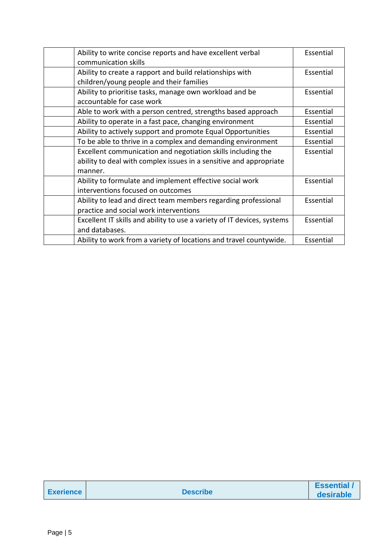| Ability to write concise reports and have excellent verbal              | Essential |
|-------------------------------------------------------------------------|-----------|
| communication skills                                                    |           |
| Ability to create a rapport and build relationships with                | Essential |
| children/young people and their families                                |           |
| Ability to prioritise tasks, manage own workload and be                 | Essential |
| accountable for case work                                               |           |
| Able to work with a person centred, strengths based approach            | Essential |
| Ability to operate in a fast pace, changing environment                 | Essential |
| Ability to actively support and promote Equal Opportunities             | Essential |
| To be able to thrive in a complex and demanding environment             | Essential |
| Excellent communication and negotiation skills including the            | Essential |
| ability to deal with complex issues in a sensitive and appropriate      |           |
| manner.                                                                 |           |
| Ability to formulate and implement effective social work                | Essential |
| interventions focused on outcomes                                       |           |
| Ability to lead and direct team members regarding professional          | Essential |
| practice and social work interventions                                  |           |
| Excellent IT skills and ability to use a variety of IT devices, systems | Essential |
| and databases.                                                          |           |
| Ability to work from a variety of locations and travel countywide.      | Essential |

| <b>Exerience</b> |  |
|------------------|--|
|                  |  |